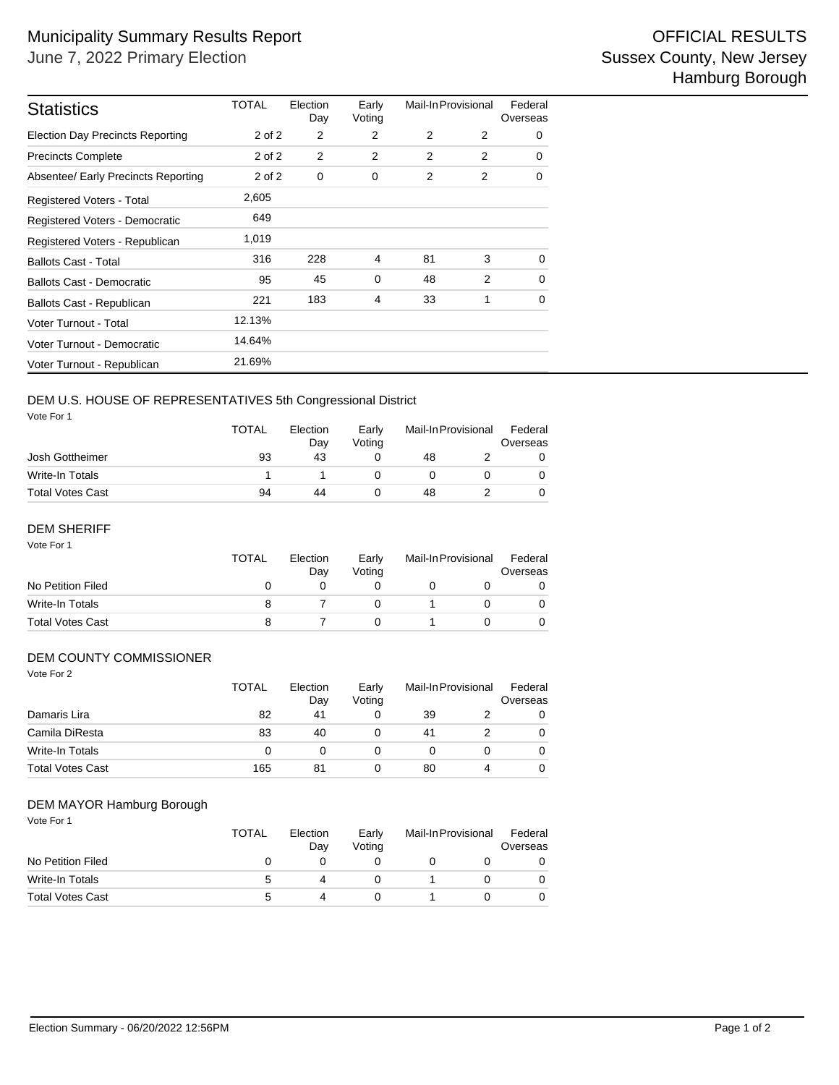| <b>Statistics</b>                       | TOTAL      | Election<br>Day | Early<br>Voting | Mail-In Provisional |   | Federal<br>Overseas |
|-----------------------------------------|------------|-----------------|-----------------|---------------------|---|---------------------|
| <b>Election Day Precincts Reporting</b> | 2 of 2     | $\overline{2}$  | 2               | 2                   | 2 | 0                   |
| <b>Precincts Complete</b>               | $2$ of $2$ | 2               | $\overline{2}$  | $\overline{2}$      | 2 | 0                   |
| Absentee/ Early Precincts Reporting     | 2 of 2     | 0               | 0               | 2                   | 2 | 0                   |
| <b>Registered Voters - Total</b>        | 2,605      |                 |                 |                     |   |                     |
| Registered Voters - Democratic          | 649        |                 |                 |                     |   |                     |
| Registered Voters - Republican          | 1,019      |                 |                 |                     |   |                     |
| <b>Ballots Cast - Total</b>             | 316        | 228             | $\overline{4}$  | 81                  | 3 | 0                   |
| <b>Ballots Cast - Democratic</b>        | 95         | 45              | 0               | 48                  | 2 | $\mathbf 0$         |
| Ballots Cast - Republican               | 221        | 183             | $\overline{4}$  | 33                  | 1 | 0                   |
| Voter Turnout - Total                   | 12.13%     |                 |                 |                     |   |                     |
| Voter Turnout - Democratic              | 14.64%     |                 |                 |                     |   |                     |
| Voter Turnout - Republican              | 21.69%     |                 |                 |                     |   |                     |

# DEM U.S. HOUSE OF REPRESENTATIVES 5th Congressional District

Vote For 1

|                         | <b>TOTAL</b> | Election<br>Dav | Early<br>Votina |    | Mail-In Provisional |  |  |
|-------------------------|--------------|-----------------|-----------------|----|---------------------|--|--|
| Josh Gottheimer         | 93           | 43              |                 | 48 |                     |  |  |
| Write-In Totals         |              |                 |                 |    |                     |  |  |
| <b>Total Votes Cast</b> | 94           | 44              |                 | 48 |                     |  |  |

#### Vote For 1 DEM SHERIFF

|                         | <b>TOTAL</b> | Election<br>Dav | Early<br>Votina | Mail-In Provisional |  | Federal<br>Overseas |  |
|-------------------------|--------------|-----------------|-----------------|---------------------|--|---------------------|--|
| No Petition Filed       | $\mathbf{O}$ |                 |                 |                     |  |                     |  |
| Write-In Totals         |              |                 |                 |                     |  |                     |  |
| <b>Total Votes Cast</b> |              |                 |                 |                     |  |                     |  |

#### DEM COUNTY COMMISSIONER

| Vote For 2              | <b>TOTAL</b> | Election<br>Day | Early<br>Voting |    | Mail-In Provisional | Federal<br>Overseas |
|-------------------------|--------------|-----------------|-----------------|----|---------------------|---------------------|
| Damaris Lira            | 82           | 41              | 0               | 39 |                     | $\Omega$            |
| Camila DiResta          | 83           | 40              | 0               | 41 |                     | $\Omega$            |
|                         |              |                 |                 |    |                     |                     |
| Write-In Totals         | 0            | 0               | 0               | 0  | 0                   | $\Omega$            |
| <b>Total Votes Cast</b> | 165          | 81              | 0               | 80 | 4                   | $\Omega$            |

#### DEM MAYOR Hamburg Borough

Vote For 1

|                         | <b>TOTAL</b> | Election<br>Day | Early<br>Votina | Mail-In Provisional |  | Federal<br>Overseas |  |
|-------------------------|--------------|-----------------|-----------------|---------------------|--|---------------------|--|
| No Petition Filed       |              |                 |                 |                     |  |                     |  |
| Write-In Totals         |              |                 |                 |                     |  |                     |  |
| <b>Total Votes Cast</b> |              |                 |                 |                     |  |                     |  |